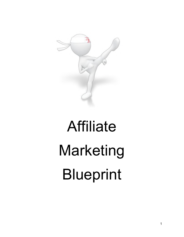

# Affiliate Marketing Blueprint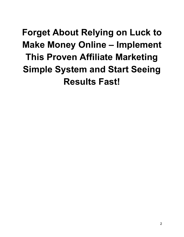# **Forget About Relying on Luck to Make Money Online – Implement This Proven Affiliate Marketing Simple System and Start Seeing Results Fast!**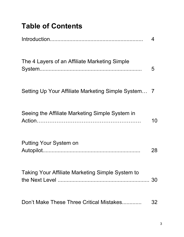# **Table of Contents**

|                                                     | 4  |
|-----------------------------------------------------|----|
| The 4 Layers of an Affiliate Marketing Simple       | 5  |
| Setting Up Your Affiliate Marketing Simple System 7 |    |
| Seeing the Affiliate Marketing Simple System in     | 10 |
| Putting Your System on                              | 28 |
| Taking Your Affiliate Marketing Simple System to    | 30 |
| Don't Make These Three Critical Mistakes            | 32 |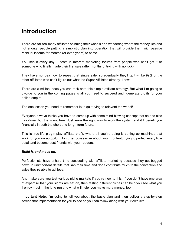# **Introduction**

There are far too many affiliates spinning their wheels and wondering where the money lies and not enough people putting a simplistic plan into operation that will provide them with passive residual income for months (or even years) to come.

You see it every day – posts in Internet marketing forums from people who can't get it or someone who finally made their first sale (after months of trying with no luck).

They have no idea how to repeat that single sale, so eventually they'll quit – like 99% of the other affiliates who can't figure out what the Super Affiliates already know.

There are a million ideas you can tack onto this simple affiliate strategy. But what I m going to divulge to you in the coming pages is all you need to succeed and generate profits for your online empire.

The one lesson you need to remember is to quit trying to reinvent the wheel!

Everyone always thinks you have to come up with some mind-blowing concept that no one else has done, but that's not true. Just learn the right way to work the system and it ll benefit you financially in both the short and long -term future.

This is true-life plug-n-play affiliate profit, where all you"re doing is setting up machines that work for you on autopilot. Don t get possessive about your content, trying to perfect every little detail and become best friends with your readers.

#### *Build it, and move on.*

Perfectionists have a hard time succeeding with affiliate marketing because they get bogged down in unimportant details that sap their time and don t contribute much to the conversion and sales they're able to achieve.

And make sure you test various niche markets if you re new to this. If you don't have one area of expertise that your sights are set on, then testing different niches can help you see what you ll enjoy most in the long run and what will help you make more money, too.

**Important Note:** I'm going to tell you about the basic plan and then deliver a step-by-step screenshot implementation for you to see so you can follow along with your own site!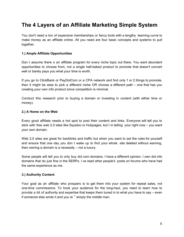# **The 4 Layers of an Affiliate Marketing Simple System**

You don't need a ton of expensive memberships or fancy tools with a lengthy learning curve to make money as an affiliate online. All you need are four basic concepts and systems to pull together.

#### **1.) Ample Affiliate Opportunities**

Don t assume there s an affiliate program for every niche topic out there. You want abundant opportunities to choose from, not a single half-baked product to promote that doesn't convert well or barely pays you what your time is worth.

If you go to ClickBank or PayDotCom or a CPA network and find only 1 or 2 things to promote, then it might be wise to pick a different niche OR choose a different path – one that has you creating your own info product since competition is minimal.

Conduct this research prior to buying a domain or investing in content (with either time or money).

#### **2.) A Home on the Web**

Every good affiliate needs a hot spot to post their content and links. Everyone will tell you to stick with free web 2.0 sites like Squidoo or Hubpages, but I m telling your right now – you want your own domain.

Web 2.0 sites are great for backlinks and traffic but when you want to set the rules for yourself and ensure that one day you don t wake up to find your whole site deleted without warning, then owning a domain is a necessity – not a luxury.

Some people will tell you to only buy dot com domains. I have a different opinion. I own dot info domains that do just fine in the SERPs. I ve read other people's posts on forums who have had the same experience as me.

#### **3.) Authority Content**

Your goal as an affiliate who prospers is to get them into your system for repeat sales, not one-time commissions. To hook your audience for the long-haul, you need to learn how to provide a bit of authority and expertise that keeps them tuned in to what you have to say – even if someone else wrote it and you re " simply the middle man.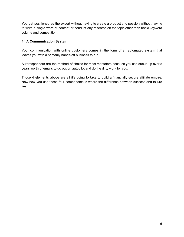You get positioned as the expert without having to create a product and possibly without having to write a single word of content or conduct any research on the topic other than basic keyword volume and competition.

#### **4.) A Communication System**

Your communication with online customers comes in the form of an automated system that leaves you with a primarily hands-off business to run.

Autoresponders are the method of choice for most marketers because you can queue up over a years worth of emails to go out on autopilot and do the dirty work for you.

Those 4 elements above are all it's going to take to build a financially secure affiliate empire. Now how you use these four components is where the difference between success and failure lies.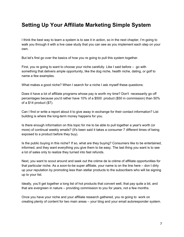# **Setting Up Your Affiliate Marketing Simple System**

I think the best way to learn a system is to see it in action, so in the next chapter, I'm going to walk you through it with a live case study that you can see as you implement each step on your own.

But let's first go over the basics of how you re going to pull this system together.

First, you re going to want to choose your niche carefully. Like I said before – go with something that delivers ample opportunity, like the dog niche, health niche, dating, or golf to name a few examples.

What makes a good niche? When I search for a niche I ask myself these questions:

Does it have a lot of affiliate programs whose pay is worth my time? Don't necessarily go off percentages because you'd rather have 10% of a \$500 product (\$50 in commission) than 50% of a \$14 product (\$7).

Can I find or write a report about it to give away in exchange for their contact information? List building is where the long-term money happens for you.

Is there enough information on this topic for me to be able to pull together a year's worth (or more) of continual weekly emails? (It's been said it takes a consumer 7 different times of being exposed to a product before they buy).

Is the public buying in this niche? If so, what are they buying? Consumers like to be entertained, informed, and they want everything you give them to be easy. The last thing you want is to see a lot of sales only to realize they turned into fast refunds.

Next, you want to scout around and seek out the crème de la crème of affiliate opportunities for that particular niche. As a soon-to-be super affiliate, your name is on the line here – don t dirty up your reputation by promoting less than stellar products to the subscribers who will be signing up to your list.

Ideally, you'll get together a long list of hot products that convert well, that pay quite a bit, and that are evergreen in nature – providing commission to you for years, not a few months.

Once you have your niche and your affiliate research gathered, you re going to work on creating plenty of content for two main areas – your blog and your email autoresponder system.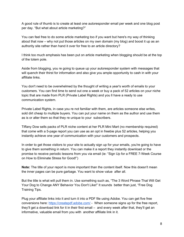A good rule of thumb is to create at least one autoresponder email per week and one blog post per day. "But what about article marketing?"

You can feel free to do some article marketing too if you want but here's my way of thinking about that now – why not put those articles on my own domain (my blog) and boost it up as an authority site rather than hand it over for free to an article directory?

I think too much emphasis has been put on article marketing when blogging should be at the top of the totem pole.

Aside from blogging, you re going to queue up your autoresponder system with messages that will quench their thirst for information and also give you ample opportunity to cash in with your affiliate links.

You don't need to be overwhelmed by the thought of writing a year's worth of emails to your customers. You can find time to send out one a week or buy a pack of 52 articles on your niche topic that are made from PLR (Private Label Rights) and you ll have a ready to use communication system.

Private Label Rights, in case you re not familiar with them, are articles someone else writes, sold dirt cheap to multiple buyers. You can put your name on them as the author and use them as is or alter them so that they re unique to your subscribers.

Tiffany Dow sells packs of PLR niche content at her PLR Mini Mart (no membership required) that come with a 5-page report you can use as an opt in freebie plus 52 articles, helping you instantly achieve one year of communication with your customers and prospects.

In order to get those visitors to your site to actually sign up for your emails, you're going to have to give them something in return. You can make it a report they instantly download or the promise to receive periodic lessons from you via email (ie: "Sign Up for a FREE 7-Week Course on How to Eliminate Stress for Good!")

**Note:** The title of your report is more important than the content itself. Now this doesn't mean the inner pages can be pure garbage. You want to show value after all.

But the title is what will pull them in. Use something such as, "The 3 Word Phrase That Will Get Your Dog to Change ANY Behavior You Don't Like!" It sounds better than just, "Free Dog Training Tips.

Plug your affiliate links into it and turn it into a PDF file using Adobe. You can get five free conversions here: <https://createpdf.adobe.com/>- When someone signs up for the free report, they'll get a download link for it in their first email – and every week after that, they'll get an informative, valuable email from you with another affiliate link in it.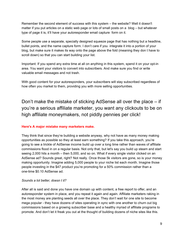Remember the second element of success with this system – the website? Well it doesn't matter if you put articles on a static web page or lots of small posts on a blog – but whatever type of page it is, it'll have your autoresponder email capture form on it.

Some people use a separate, specially designed squeeze page that has nothing but a headline, bullet points, and the name capture form. I don't care if you integrate it into a portion of your blog, but make sure it makes its way onto the page above the fold (meaning they don t have to scroll down) so that you can start building your list.

Important: If you spend any extra time at all on anything in this system, spend it on your opt-in area. You want your visitors to convert into subscribers. And make sure you find or write valuable email messages and not trash.

With good content for your autoresponders, your subscribers will stay subscribed regardless of how often you market to them, providing you with more selling opportunities.

Don't make the mistake of sticking AdSense all over the place – if you're a serious affiliate marketer, you want any clickouts to be on high affiliate moneymakers, not piddly pennies per click!

#### **Here's A major mistake many marketers make.**

They think that since they're building a website anyway, why not have as many money making opportunities as possible so they at least earn something? If you take this approach, you're going to see a trickle of AdSense income build up over a long time rather than waves of affiliate commissions flood in on a regular basis. Not only that, but let's say you build up steam and start seeing 2,000 hits a month – then 5,000, and so on. What if every single visitor clicked on an AdSense ad? Sounds great, right? Not really. Once those 5k visitors are gone, so is your money making opportunity. Imagine adding 5,000 people to your niche list each month. Imagine those people investing in the \$47 product you're promoting for a 50% commission rather than a one-time \$0.10 AdSense ad.

#### *Sounds a lot better, doesn t it?*

After all is said and done you have one domain up with content, a free report to offer, and an autoresponder system in place, and you repeat it again and again. Affiliate marketers raking in the most money are planting seeds all over the place. They don't wait for one site to become mega popular - they have dozens of sites operating in sync with one another to churn out big commissions based on a growing subscriber base and a healthy myriad of affiliate programs to promote. And don't let it freak you out at the thought of building dozens of niche sites like this.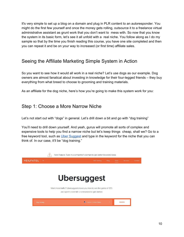It's very simple to set up a blog on a domain and plug in PLR content to an autoresponder. You might do the first few yourself and once the money gets rolling, outsource it to a freelance virtual administrative assistant as grunt work that you don't want to mess with. So now that you know the system in its basic form, let's see it all unfold with a real niche. You follow along as I do my sample so that by the time you finish reading this course, you have one site completed and then you can repeat it and be on your way to increased (or first time) affiliate sales.

## Seeing the Affiliate Marketing Simple System in Action

So you want to see how it would all work in a real niche? Let's use dogs as our example. Dog owners are almost fanatical about investing in knowledge for their four-legged friends – they buy everything from what breed to choose to grooming and training materials.

As an affiliate for the dog niche, here's how you're going to make this system work for you:

## Step 1: Choose a More Narrow Niche

Let's not start out with "dogs" in general. Let's drill down a bit and go with "dog training"

You'll need to drill down yourself. And yeah, gurus will promote all sorts of complex and expensive tools to help you find a narrow niche but let's keep things cheap, shall we? Go to a free keyword tool, such as [Uber Suggest](https://app.neilpatel.com/en/ubersuggest/) and type in the keyword for the niche that you can think of. In our case, it'll be "dog training."

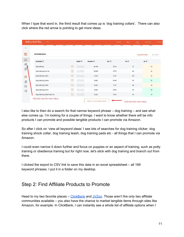When I type that word in, the third result that comes up is 'dog training collars'. There can also click where the red arrow is pointing to get more ideas.

| <b>APR</b><br><b>WIAT</b><br>JUN |                       | <b>AUG</b><br>JUL | <b>SEPT</b><br><b>UGT</b> | <b>INOV</b>      | <b>DEC</b><br>JAIV | <b><i>MAR</i></b><br><b>FEB</b>      |
|----------------------------------|-----------------------|-------------------|---------------------------|------------------|--------------------|--------------------------------------|
| <b>KEYWORD IDEAS</b>             |                       |                   |                           |                  |                    | <b>SUGGESTIONS</b><br><b>RELATED</b> |
| <b>KEYWORD</b>                   |                       | <b>TREND</b>      | <b>VOLUME</b>             | CPC <sup>@</sup> | PD ©               | sp @                                 |
| dog training                     | $\mapsto$             | <b>Thirmul</b>    | 90,500                    | S3.93            | 57                 | 62                                   |
| dog training near me             | $\Theta$              | <b>IIII</b> III   | 74,000                    | <b>\$3.75</b>    | 44                 | 41                                   |
| dog training collars             | $\mapsto$             | <b>Thumul</b>     | 27,100                    | <b>S1.78</b>     | 100                | 52                                   |
| dog training classes             | $\rightarrow$         | <b>Infiniture</b> | 9,900                     | <b>\$4.46</b>    | 52                 | 31                                   |
| dog training clicker             | $\boxed{\rightarrow}$ | THE MIL           | 9,900                     | S1.41            | 100                | 45                                   |
| dog training school              | $\lbrack \rightarrow$ | <b>TILL AND</b>   | 4,400                     | \$5.25           | 62                 | 33                                   |
| dog training classes near me     | $\mapsto$             | <b>Thurlin</b>    | 4,400                     | \$4.10           | 40                 | 19                                   |

I also like to then do a search for that narrow keyword phrase – dog training – and see what else comes up. I'm looking for a couple of things. I want to know whether there will be info products I can promote and possible tangible products I can promote via Amazon.

So after I click on 'view all keyword ideas' I see lots of searches for dog training clicker, dog training shock collar, dog training leash, dog training pads etc - all things that I can promote via Amazon.

I could even narrow it down further and focus on puppies or an aspect of training, such as potty training or obedience training but for right now, let's stick with dog training and branch out from there.

I clicked the export to CSV link to save this data in an excel spreadsheet – all 169 keyword phrases. I put it in a folder on my desktop.

# Step 2: Find Affiliate Products to Promote

Head to my two favorite places – [ClickBank](https://www.clickbank.com/) and  $JVZoo$ . Those aren't the only two affiliate communities available – you also have the chance to market tangible items through sites like Amazon, for example. In ClickBank, I can instantly see a whole list of affiliate options when I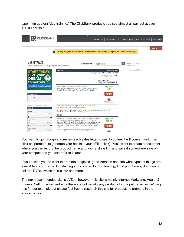type in (in quotes) "dog training." The ClickBank products you see almost all pay out at over \$20.00 per sale.

| <b>Q</b> CLICKBANK <sup>®</sup>                                          | <b>DASHBOARD</b>                                                                                                                                                                                                                                                                                                                 | <b>REPORTING</b>                                                                                     | <b>ACCOUNT SETTINGS</b><br><b>VENDOR SETTINGS</b> | <b>RESOURCES</b> |
|--------------------------------------------------------------------------|----------------------------------------------------------------------------------------------------------------------------------------------------------------------------------------------------------------------------------------------------------------------------------------------------------------------------------|------------------------------------------------------------------------------------------------------|---------------------------------------------------|------------------|
| $\left\lceil \cdot \right\rceil$                                         | Complete your profile and tell us more about yourself by filling out the ClickBank survey!                                                                                                                                                                                                                                       |                                                                                                      |                                                   | SUPPORT LOO      |
| <b>MARKETPLACE</b><br>Choose from thousands of great products to promote | <b>Find Products:</b>                                                                                                                                                                                                                                                                                                            | dog training                                                                                         | <b>Advanced Search</b><br>$\Omega$<br>Search Help |                  |
| <b>START TODAY.</b><br>LIVE your<br>Ευ                                   | <b>Results</b>                                                                                                                                                                                                                                                                                                                   | <b>Marketplace Help</b><br>Displaying results 1-10 out of 91 (pg. 1 of 10)<br>Results per page: 10 ▼ | Sponsored Links                                   |                  |
| <b>DREAM</b><br><b>SURRAN</b><br>tomorrow.                               |                                                                                                                                                                                                                                                                                                                                  | Sort results by:<br>Keyword Relevance ▼                                                              |                                                   |                  |
| <b>Start ClickBank University</b><br>R<br>Advertisement                  | Accelerated Dog Training Health Grooming<br>Offering An E-book Resource For Dog Training, Dog Grooming,<br>House Training, And General Pet Care For All Dog Breeds.                                                                                                                                                              | Avg \$/sale<br>$N/A*$                                                                                |                                                   |                  |
| <b>Resources</b><br>Favorites                                            |                                                                                                                                                                                                                                                                                                                                  | <b>PROMOTE</b>                                                                                       |                                                   |                  |
|                                                                          |                                                                                                                                                                                                                                                                                                                                  | <b>Add To Favorites</b>                                                                              |                                                   |                  |
| <b>Reset Filters and Attributes</b><br><b>Filters</b>                    | Stats: Initial \$/sale: \$0.00   Avg %/sale: 50.0%   Grav: 0.00<br>Cat: Home & Garden : Animal Care & Pets                                                                                                                                                                                                                       |                                                                                                      |                                                   |                  |
| <b>Gravity</b>                                                           | My Stats: Hops: 1   Avg. \$/Hop: \$0.00   Refund %: 0.00%   Chargeback %: 0.00%  <br>Initial Sales: \$0.00   Rebill Sales: \$0.00   Upsells: \$0.00                                                                                                                                                                              |                                                                                                      |                                                   |                  |
| $100+$<br>$\Omega$                                                       | <b>HE S</b>                                                                                                                                                                                                                                                                                                                      |                                                                                                      |                                                   |                  |
| <b>Avg S/sale</b><br>$$150+$<br>\$0                                      | Dog Training Secrets "they" Don't Want You To Know About<br>Dog Training Has Been Done Wrong Because Of The Use Of<br>Treats. Finally A Solution That Involves No Treats Whatsoever And<br>Creates A Bond With Your Dog Like No Other. Eliminate Barking,<br>Aggression, Pulling On The Leash, And Have A Calmer Happier<br>Dog! | Avg \$/sale<br>\$22.60<br><b>PROMOTE</b>                                                             |                                                   |                  |
| <b>Initial S/sale</b><br>$$100+$<br>SO <sub>2</sub>                      | Affiliate Support Contact: therealanthonylouis@gmail.com                                                                                                                                                                                                                                                                         |                                                                                                      |                                                   |                  |

You want to go through and review each sales letter to see if you feel it will convert well. Then click on 'promote' to generate your hoplink (your affiliate link). You'll want to create a document where you can record the product name and your affiliate link and save it somewhere safe on your computer so you can refer to it later.

If you decide you do want to promote tangibles, go to Amazon and see what types of things are available in your niche. Conducting a quick scan for dog training, I find print books, dog training collars, DVDs, whistles, clickers and more.

The next recommended site is JVZoo, however, this site is mainly Internet Marketing, Health & Fitness, Self Improvement etc - there are not usually any products for the pet niche, so we'll skip this for our example but please feel free to research this site for products to promote in the above niches.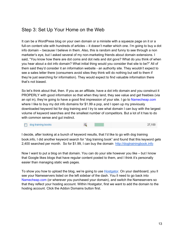# Step 3: Set Up Your Home on the Web

It can be a WordPress blog on your own domain or a minisite with a squeeze page on it or a full-on content site with hundreds of articles – it doesn't matter which one. I'm going to buy a dot info domain – because I believe in them. Also, this is random and funny to see through a non marketer's eye, but I asked several of my non-marketing friends about domain extensions. I said, "You know how there are dot coms and dot nets and dot govs? What do you think of when you hear about a dot info domain? What initial thing would you consider that site to be?" All of them said they'd consider it an information website - an authority site. They wouldn't expect to see a sales letter there (consumers avoid sites they think will do nothing but sell to them if they're just searching for information). They would expect to find valuable information there that's not biased.

So let's think about that, then. If you as an affiliate, have a dot info domain and you construct it PROPERLY with good information so that when they land, they see value and get freebies (via an opt in), they're going to have a good first impression of your site. I go to [Namecheap.com](https://shareasale.com/r.cfm?b=1470528&u=712773&m=46483&urllink=&afftrack=0) where I like to buy my dot info domains for \$1.99 a pop, and I open up my previously downloaded keyword list for dog training and I try to see what domain I can buy with the largest volume of keyword searches and the smallest number of competitors. But a lot of it has to do with common sense and gut instinct.

|                    | 27,100 |
|--------------------|--------|
| dog training books |        |

I decide, after looking at a bunch of keyword results, that I'd like to go with dog training book.info, I did another keyword search for "dog training book" and found that this keyword gets 2,400 searched per month. So for \$1.99, I can buy the domain [http://dogtrainingbook.info](http://dogtrainingbook.info/)

Now I want to put a blog on that domain. You can do your site however you like – but I know that Google likes blogs that have regular content posted to them, and I think it's personally easier than managing static web pages.

To show you how to upload the blog, we're going to use [Hostgator.](https://partners.hostgator.com/K9aa7) On your dashboard, you ll see your Nameservers listed on the left sidebar of the dash. You ll need to go back into [Namecheap.com](https://shareasale.com/r.cfm?b=1470528&u=712773&m=46483&urllink=&afftrack=0) (or wherever you purchased your domain), and switch the Nameservers so that they reflect your hosting account. Within Hostgator, first we want to add the domain to the hosting account. Click the Addon Domains button first.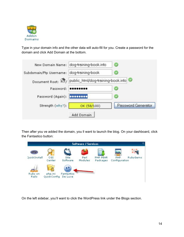

Type in your domain info and the other data will auto-fill for you. Create a password for the domain and click Add Domain at the bottom.

|                            | New Domain Name: dog-training-book.info               | $\bullet$          |
|----------------------------|-------------------------------------------------------|--------------------|
| Subdomain/Ftp Username:    | dog-training-book                                     | ø                  |
|                            | Document Root: 17/ public_html/dog-training-book.info |                    |
| Password:                  |                                                       | $\bullet$          |
| Password (Again): 00000000 |                                                       | $\circledcirc$     |
| Strength (why?):           | OK (58/100)                                           | Password Generator |
|                            | Add Domain                                            |                    |

Then after you ve added the domain, you ll want to launch the blog. On your dashboard, click the Fantastico button:

|                  |               |                       | <b>Software / Services</b> |                      |                             |          |
|------------------|---------------|-----------------------|----------------------------|----------------------|-----------------------------|----------|
|                  |               |                       |                            |                      |                             |          |
| QuickInstall     | CGI<br>Center | Site<br>Software      | Perl<br>Modules            | PHP PEAR<br>Packages | <b>PHP</b><br>Configuration | RubyGems |
| oho              |               |                       |                            |                      |                             |          |
| Ruby on<br>Rails | php.ini       | Fantastico<br>De Luxe |                            |                      |                             |          |
|                  | QuickConfig   |                       |                            |                      |                             |          |

On the left sidebar, you'll want to click the WordPress link under the Blogs section.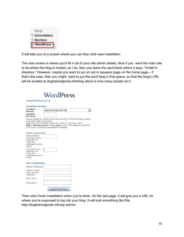| Blogs              |  |
|--------------------|--|
| <b>b2evolution</b> |  |
| <b>Nucleus</b>     |  |
| WordPress          |  |

It will take you to a screen where you can then click new Installation

The next screen is where you'll fill in all of your site admin details. Now if you want the main site to be where the blog is hosted, as I do, then you leave the spot blank where it says, "Install in directory." However, maybe you want to put an opt in squeeze page on the home page – if that's the case, then you might want to put the word blog in that space, so that the blog's URL will be located at dogtrainingbook.info/blog which is how many people do it.



| Install on<br>domain                                                                     | dog-training-book.info                                                                                                                                                                                                                            |  |
|------------------------------------------------------------------------------------------|---------------------------------------------------------------------------------------------------------------------------------------------------------------------------------------------------------------------------------------------------|--|
| Install in<br>directory                                                                  |                                                                                                                                                                                                                                                   |  |
| example: http://domain/).                                                                | Leave empty to install in the root directory of the domain (access<br>Enter only the directory name to install in a directory (for<br>http://domain/name/ enter name only). This directory SHOULD<br>NOT exist, it will be automatically created! |  |
| <b>Admin access data</b>                                                                 |                                                                                                                                                                                                                                                   |  |
| Administrator-<br>username (you<br>need this to<br>enter the<br>protected admin<br>area) |                                                                                                                                                                                                                                                   |  |
| Password (you<br>need this to<br>enter the<br>protected admin<br>area)                   |                                                                                                                                                                                                                                                   |  |
| <b>Base configuration</b>                                                                |                                                                                                                                                                                                                                                   |  |
| Admin nickname                                                                           |                                                                                                                                                                                                                                                   |  |
| Admin e-mail<br>(your email<br>address)                                                  |                                                                                                                                                                                                                                                   |  |
| Site name                                                                                |                                                                                                                                                                                                                                                   |  |
|                                                                                          |                                                                                                                                                                                                                                                   |  |

Then click Finish Installation when you're done. On the last page, it will give you a URL for where you're supposed to log into your blog. It will look something like this: http://dogtrainingbook.info/wp-admin/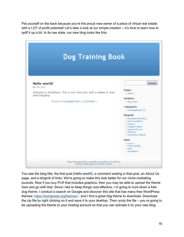Pat yourself on the back because you're the proud new owner of a piece of virtual real estate with a LOT of profit potential! Let's take a look at our simple creation – it's time to learn how to spiff it up a bit. In its raw state, our new blog looks like this:



You see the blog title, the first post (Hello world!), a comment waiting in that post, an About Us page, and a blogroll of links. We're going to make this look better for our niche marketing pursuits. Now if you buy PLR that includes graphics, then you may be able to upload the theme here and go with that. Since I like to keep things cost effective, I m going to hunt down a free dog theme. I conduct a search on Google and discover this site that has many free WordPress themes:<https://wordpress.org/themes/>- and I find a great dog theme to download. Download the zip file by right clicking on it and save it to your desktop. Then unzip the file – you re going to be uploading the theme to your hosting account so that you can activate it on your new blog.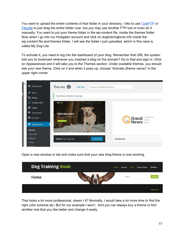You want to upload the entire contents of that folder in your directory. I like to use [CuteFTP](https://download.cnet.com/CuteFTP/3000-2160_4-10000625.html) or [Filezilla](https://filezilla-project.org/) to just drag the entire folder over, but you may use another FTP tool or even do it manually. You want to put your theme folder in the wp-content file, inside the themes folder. Now when I go into my Hostgator account and click on dogtrainingbook.info inside the wp-content file and themes folder, I will see the folder I just uploaded, which in this case is called My Dog Lite.

To activate it, you need to log into the dashboard of your blog. Remember that URL the system told you to bookmark whenever you inserted a blog on the domain? Go to that and sign in. Click on Appearances and it will take you to the Themes section. Under available themes, you should see your new theme. Click on it and when it pops up, choose "Activate (theme name)" in the upper right corner.



Open a new window or tab and make sure that your new blog theme is now working.



That looks a lot more professional, doesn t it? Normally, I would take a lot more time to find the right color scheme etc. But for our example I won't. And you can always buy a theme or find another one that you like better and change it easily.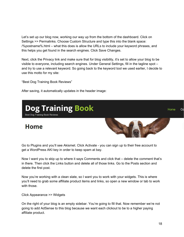Let's set up our blog now, working our way up from the bottom of the dashboard. Click on Settings >> Permalinks. Choose Custom Structure and type this into the blank space: /%postname%.html – what this does is allow the URLs to include your keyword phrases, and this helps you get found in the search engines. Click Save Changes.

Next, click the Privacy link and make sure that for blog visibility, it's set to allow your blog to be visible to everyone, including search engines. Under General Settings, fill in the tagline spot – and try to use a relevant keyword. So going back to the keyword tool we used earlier, I decide to use this motto for my site:

"Best Dog Training Book Reviews"

After saving, it automatically updates in the header image:



**Home** 



Go to Plugins and you'll see Akismet. Click Activate - you can sign up to their free account to get a WordPress AKI key in order to keep spam at bay.

Now I want you to skip up to where it says Comments and click that – delete the comment that's in there. Then click the Links button and delete all of those links. Go to the Posts section and delete the first post.

Now you're working with a clean slate, so I want you to work with your widgets. This is where you'll need to grab some affiliate product items and links, so open a new window or tab to work with those.

Click Appearance >> Widgets

On the right of your blog is an empty sidebar. You're going to fill that. Now remember we're not going to add AdSense to this blog because we want each clickout to be to a higher paying affiliate product.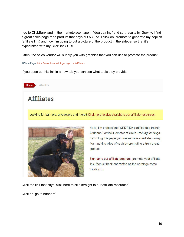I go to ClickBank and in the marketplace, type in "dog training" and sort results by Gravity. I find a great sales page for a product that pays out \$30.73. I click on 'promote to generate my hoplink (affiliate link) and now I'm going to put a picture of the product in the sidebar so that it's hyperlinked with my ClickBank URL.

Often, the sales vendor will supply you with graphics that you can use to promote the product.

#### Affiliate Page: <https://www.braintraining4dogs.com/affiliates/>

If you open up this link in a new tab you can see what tools they provide.



Click the link that says 'click here to skip straight to our affiliate resources'

Click on 'go to banners'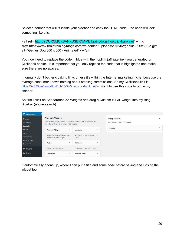Select a banner that will fit inside your sidebar and copy the HTML code - the code will look something like this:

<a href="http://YOURCLICKBANKUSERNAME.brainydogs.hop.clickbank.net"><img src="https://www.braintraining4dogs.com/wp-content/uploads/2016/02/genius-300x600-a.gif" alt="Genius Dog 300 x 600 - Animated" /></a>

You now need to replace the code in blue with the hoplink (affiliate link) you generated on Clickbank earlier. It is important that you only replace the code that is highlighted and make sure there are no spaces.

I normally don't bother cloaking links unless it's within the Internet marketing niche, because the average consumer knows nothing about stealing commissions. So my ClickBank link is: <https://9c835cm3yrapdtdxt1ph13-5w5.hop.clickbank.net/> - I want to use this code to put in my sidebar.

So first I click on Appearance >> Widgets and drag a Custom HTML widget into my Blog Sidebar (above search).

| ∗<br>Appearance                                              |                                                                                                                                                        |                                |                                                                           |                                           |                                                     |                  |
|--------------------------------------------------------------|--------------------------------------------------------------------------------------------------------------------------------------------------------|--------------------------------|---------------------------------------------------------------------------|-------------------------------------------|-----------------------------------------------------|------------------|
| Themes<br>Customize<br>Widgets                               | <b>Available Widgets</b><br>To activate a widget drag it to a sidebar or click on it. To deactivate a<br>widget and delete its settings, drag it back. |                                |                                                                           |                                           | <b>Blog Sidebar</b><br>Appears on blog page sidebar | $\blacktriangle$ |
| Menus<br>Header<br>Background<br>About Theme<br>Theme Editor | <b>Akismet Widget</b><br>Display the number of spam com-<br>ments Akismet has caught<br>Audio                                                          | $\boldsymbol{\mathrm{v}}$<br>v | <b>Archives</b><br>A monthly archive of your site's<br>Posts.<br>Calendar | $\mathbf{v}$<br>$\boldsymbol{\mathrm{v}}$ | Search                                              | v                |
| Plugins<br><b>Users</b>                                      | Displays an audio player.<br>Categories                                                                                                                | v                              | A calendar of your site's Posts.<br><b>Custom HTML</b>                    | $\mathbf{v}$                              |                                                     |                  |
|                                                              |                                                                                                                                                        |                                |                                                                           |                                           |                                                     |                  |

It automatically opens up, where I can put a title and some code before saving and closing the widget tool.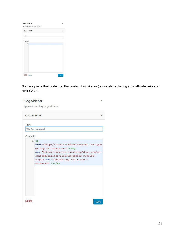| <b>Blog Sidebar</b><br>Appears on blog page sidebar | ٠     |
|-----------------------------------------------------|-------|
| Custom HTML                                         | ٠     |
| Title:                                              |       |
| Content:                                            |       |
| 1                                                   |       |
| Delete   Done                                       | Saved |

Now we paste that code into the content box like so (obviously replacing your affiliate link) and click SAVE.

|          | <b>Custom HTML</b>                                                                                                                                                                                                                                 |
|----------|----------------------------------------------------------------------------------------------------------------------------------------------------------------------------------------------------------------------------------------------------|
| Title:   |                                                                                                                                                                                                                                                    |
|          | We Recommend                                                                                                                                                                                                                                       |
| Content: |                                                                                                                                                                                                                                                    |
|          | 1 < a<br>href="http://YOURCLICKBANKUSERNAME.brainydo<br>gs.hop.clickbank.net"> <img<br>src="https://www.braintraining4dogs.com/wp-<br/>content/uploads/2016/02/genius-300x600-<br/>a.gif" alt="Genius Dog 300 x 600 -<br/>Animated" /&gt;</img<br> |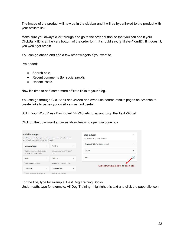The image of the product will now be in the sidebar and it will be hyperlinked to the product with your affiliate link.

Make sure you always click through and go to the order button so that you can see if your ClickBank ID is at the very bottom of the order form. It should say, [affiliate=YourID]. If it doesn't, you won't get credit!

You can go ahead and add a few other widgets if you want to.

I've added:

- Search box;
- Recent comments (for social proof);
- Recent Posts.

Now it's time to add some more affiliate links to your blog.

You can go through ClickBank and JVZoo and even use search results pages on Amazon to create links to pages your visitors may find useful.

Still in your WordPress Dashboard >> Widgets, drag and drop the Text Widget

Click on the downward arrow as show below to open dialogue box

| <b>Available Widgets</b>                                                                                                   |                                            | <b>Blog Sidebar</b><br>А                         |
|----------------------------------------------------------------------------------------------------------------------------|--------------------------------------------|--------------------------------------------------|
| To activate a widget drag it to a sidebar or click on it. To deactivate a<br>widget and delete its settings, drag it back. |                                            | Appears on blog page sidebar                     |
| <b>Akismet Widget</b><br>$\overline{\mathbf{v}}$                                                                           | <b>Archives</b><br>$\mathbf{v}$            | <b>Custom HTML: We Recommend</b><br>$\mathbf{v}$ |
| Display the number of spam com-<br>ments Akismet has caught                                                                | A monthly archive of your site's<br>Posts. | Search<br>$\mathbf{v}$                           |
| Audio<br>$\overline{\phantom{a}}$                                                                                          | Calendar<br>$\overline{\mathbf{v}}$        | Text                                             |
| Displays an audio player.                                                                                                  | A calendar of your site's Posts.           | Click downward arrow to open box                 |
| Categories<br>$\mathbf{v}$                                                                                                 | <b>Custom HTML</b><br>v                    |                                                  |
| A list or dropdown of categories.                                                                                          | Arbitrary HTML code.                       |                                                  |

For the title, type for example: Best Dog Training Books

Underneath, type for example: All Dog Training - highlight this text and click the paperclip icon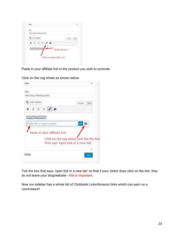| Title:                         |                       |      |
|--------------------------------|-----------------------|------|
| <b>Best Dog Training Books</b> |                       |      |
| <b>Q<sub>1</sub></b> Add Media | Visual                | Text |
| B $I \equiv E \otimes \Phi$    |                       |      |
|                                | <b>Highlight text</b> |      |
|                                |                       |      |
| All Dog Training               |                       |      |

Paste in your affiliate link to the product you wish to promote

| Best Dog Training Books        |                                        |
|--------------------------------|----------------------------------------|
| <b>Q<sub>3</sub></b> Add Media | Visual<br>Text                         |
| B $I \equiv E \circ \bullet$   |                                        |
| All Dog Training               |                                        |
| Paste URL or type to search    |                                        |
|                                |                                        |
| Paste in your affiliate link   |                                        |
|                                | Click on the cog wheel and tick the bo |
|                                | that says 'open link in a new tab'     |

Click on the cog wheel as shown below

Tick the box that says 'open link in a new tab' so that if your visitor does click on the link, they do not leave your blog/website - this is important.

Now our sidebar has a whole list of Clickbank Links/Amazon links which can earn us a commission!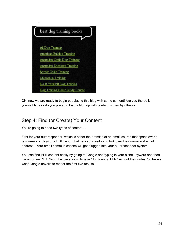

OK, now we are ready to begin populating this blog with some content! Are you the do it yourself type or do you prefer to load a blog up with content written by others?

# Step 4: Find (or Create) Your Content

You're going to need two types of content –

First for your autoresponder, which is either the promise of an email course that spans over a few weeks or days or a PDF report that gets your visitors to fork over their name and email address. Your email communications will get plugged into your autoresponder system.

You can find PLR content easily by going to Google and typing in your niche keyword and then the acronym PLR. So in this case you'd type in "dog training PLR" without the quotes. So here's what Google unveils to me for the first five results.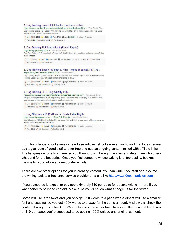```
1. Dog Training Basics PIr Ebook - Exclusive Niches
https://www.exclusiveniches.com/dog-training-basics-plr-ebook.html * View Similar Sites
Dog Training Basics PLR Ebook With Private Label Rights... Dog Training Basics Private Label
Rights Ebook Instant Download Available!!
OL:0 OLD:258K U LCAOK @ Rank 37CK @ Age:2014/03/01 L whols () source
C Rank 1.53M C Adv Disp Ads: 0 C Pub Disp Ads: 0
2. Dog Training PLR Mega Pack (Resell Rights)
dogtraining.pircheap.com/ . View Similar Sites
This Dog Training PLR contains 5 eBooks, 145 dog PLR articles, graphics, and more than 40 dog
stock images.
○L1 ○LD.1 b Links + Rank 4.05M m Age 2015/06/25 t whols </> source </a> </a> Rank 6.96M
Adv Disp Ads: 0 O Pub Disp Ads: 0
3. Dog Training Ebook (97 pages, +vids +mp3s of same). PLR, re ...
https://www.jvzoo.com/products/7725 . View Similar Sites
Dog Training Ebook, (+vids, +mp3s), PLR, re-sellable, re-brandable, splittable etc. Hot NEW Dog
Training Ebook, 97-pages of great content answering all the ...
◎LO ◎LD:203M b I:53.8K @ Rank 7.26K m Age:2011)07|16 ± whols </> source
Rank: 123K @ Adv Disp Ads: 21 @ Pub Disp Ads: 3
4. Dog Training PLR - Buy Quality PLR
https://www.buyqualityplr.com/plr-store/products/dog-training-plr/ * View Similar Sites
Are you looking to market in the dog training niche? We offer dog and puppy PLR content that
you can use to market your business or resell as your own.
○LO ○LD 7.44K b 1:26.6K + Rank:303K m Age 2011/01/28 ± whols </> source
C Rank 536K C Adv Disp Ads: 0 C Pub Disp Ads: 0
5. Dog Obedience PLR eBook | - Private Label Rights
https://www.thepirstore.com > ... > Pets PLR Ebooks + View Similar Sites
Dog Obedience PLR Ebook includes Private Label Rights. Edit it all you want, add your name as
author, resell and keep all the CASH.
```
OLO OLD:34.4K b LG.44K @ Rank:206K m Age:2007|11|03 f whols () source Rank: 550K O Adv Disp Ads: 0 O Pub Disp Ads: 0

From first glance, it looks awesome – I see articles, eBooks – even audio and graphics in some packages! Lots of good stuff to offer free and use as ongoing content mixed with affiliate links. The list goes on for a long time, so you ll want to sift through the sites and determine who offers what and for the best price. Once you find someone whose writing is of top quality, bookmark the site for your future autoresponder emails.

There are two other options for you in creating content. You can write it yourself or outsource the writing task to a freelance service provider on a site like [http://www.99centarticles.com](http://www.99centarticles.com/)

If you outsource it, expect to pay approximately \$10 per page for decent writing – more if you want perfectly polished content. Make sure you question what a "page" is for the writer.

Some will use large fonts and you only get 250 words to a page where others will use a smaller font and spacing, so you get 400+ words to a page for the same amount. And always check the content through a site like CopyScape to see if the writer has plagiarized the deliverables. Even at \$10 per page, you're supposed to be getting 100% unique and original content.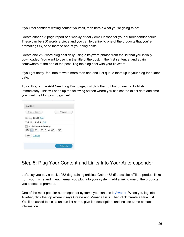If you feel confident writing content yourself, then here's what you're going to do:

Create either a 5 page report or a weekly or daily email lesson for your autoresponder series. These can be 250 words a piece and you can hyperlink to one of the products that you're promoting OR, send them to one of your blog posts.

Create one 250-word blog post daily using a keyword phrase from the list that you initially downloaded. You want to use it in the title of the post, in the first sentence, and again somewhere at the end of the post. Tag the blog post with your keyword.

If you get antsy, feel free to write more than one and just queue them up in your blog for a later date.

To do this, on the Add New Blog Post page, just click the Edit button next to Publish Immediately. This will open up the following screen where you can set the exact date and time you want the blog post to go live!

| Save Draft |                              |  | Preview |  |
|------------|------------------------------|--|---------|--|
|            | Status: Draft Edit           |  |         |  |
|            | Visibility: Public Edit      |  |         |  |
|            | <b>量 Publish immediately</b> |  |         |  |
|            | May 06, 2010 @ 05: 56        |  |         |  |
| OK Cancel  |                              |  |         |  |
|            |                              |  |         |  |

# Step 5: Plug Your Content and Links Into Your Autoresponder

Let's say you buy a pack of 52 dog training articles. Gather 52 (if possible) affiliate product links from your niche and in each email you plug into your system, add a link to one of the products you choose to promote.

One of the most popular autoresponder systems you can use is [Aweber.](http://marketingtools.aweber.com/) When you log into Aweber, click the top where it says Create and Manage Lists. Then click Create a New List. You'll be asked to pick a unique list name, give it a description, and include some contact information.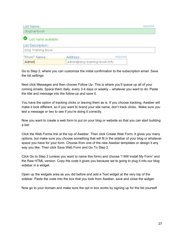| List Name:           |                              | required |
|----------------------|------------------------------|----------|
| dogtrainbook         |                              |          |
| List name available! |                              |          |
| List Description:    |                              |          |
| Dog Training Book    |                              |          |
| "From" Name:         | Address:                     | required |
| Admin                | admin@dog-training-book.info |          |

Go to Step 2, where you can customize the initial confirmation to the subscription email. Save the list settings.

Next click Messages and then choose Follow Up. This is where you'll queue up all of your coming emails. Space them daily, every 3-4 days or weekly – whatever you want to do. Paste the title and message into the follow-up and save it.

You have the option of tracking clicks or leaving them as is. If you choose tracking, Aweber will make it look different, so if you want to brand your site name, don't track clicks. Make sure you test a message or two to see if you're doing it correctly.

Now you want to create a web form to put on your blog or website so that you can start building a list!

Click the Web Forms link at the top of Aweber. Then click Create Web Form. It gives you many options, but make sure you choose something that will fit in the sidebar of your blog or whatever space you have for your form. Choose from one of the new Aweber templates or design it any way you like. Then click Save Web Form and Go To Step 2.

Click Go to Step 3 (unless you want to name this form) and choose "I Will Install My Form" and the Raw HTML version. Copy the code it gives you because we're going to plug it into our blog sidebar in a widget.

Open up the widgets area as you did before and add a Text widget at the very top of the sidebar. Paste the code into the box that you took from Aweber, save and close the widget.

Now go to your domain and make sure the opt in box works by signing up for the list yourself.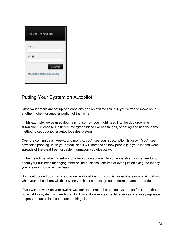| Free Dog Training Tips                  |
|-----------------------------------------|
| Name:                                   |
| Email:                                  |
| Submit<br>We respect your email privacy |

# Putting Your System on Autopilot

Once your emails are set up and each one has an affiliate link in it, you're free to move on to another niche – or another portion of the niche.

In this example, we've used dog training, so now you might head into the dog grooming sub-niche. Or, choose a different evergreen niche like health, golf, or dating and use the same method to set up another autopilot sales system.

Over the coming days, weeks, and months, you'll see your subscription list grow. You'll see new sales popping up on your radar, and it will increase as new people join your list and word spreads of the great free, valuable information you give away.

In the meantime, after it's set up (or after you outsource it to someone else), you're free to go about your business managing other online business ventures or even just enjoying the money you're earning on a regular basis.

Don't get bogged down in one-on-one relationships with your list subscribers or worrying about what your subscribers will think when you blast a message out to promote another product.

If you want to work on your own newsletter and personal branding system, go for it – but that's not what this system is intended to do. This affiliate money machine serves one sole purpose – to generate autopilot income and nothing else.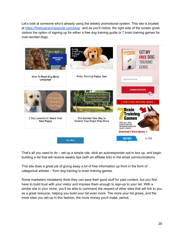Let's look at someone who's already using the weekly promotional system. This site is located at<https://thedogtrainingsecret.com/blog/>and as you'll notice, the right side of the screen gives visitors the option of signing up for either a free dog training guide or 7 brain training games for over-excited dogs.



That's all you need to do – set up a simple site, stick an autoresponder opt-in box up, and begin building a list that will receive weekly tips (with an affiliate link) in the email communications.

This site does a great job of giving away a lot of free information up front in the form of categorical articles – from dog training to brain training games.

Some marketers mistakenly think they can save their good stuff for paid content, but you first have to build trust with your visitor and impress them enough to sign-up to your list. With a similar site in your niche, you'll be able to command the respect of other sites that will link to you as a great resource, helping you build your list even more. The more your list grows, and the more sites you set-up in this fashion, the more money you'll make, period.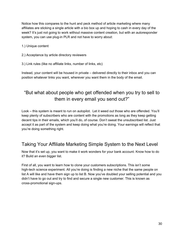Notice how this compares to the hunt and peck method of article marketing where many affiliates are sticking a single article with a bio box up and hoping to cash in every day of the week? It's just not going to work without massive content creation, but with an autoresponder system, you can use plug-in PLR and not have to worry about:

1.) Unique content

2.) Acceptance by article directory reviewers

3.) Link rules (like no affiliate links, number of links, etc)

Instead, your content will be housed in private – delivered directly to their inbox and you can position whatever links you want, wherever you want them in the body of the email.

# "But what about people who get offended when you try to sell to them in every email you send out?"

Look – this system is meant to run on autopilot. Let it weed out those who are offended. You'll keep plenty of subscribers who are content with the promotions as long as they keep getting decent tips in their emails, which you'll do, of course. Don't sweat the unsubscribed list. Just accept it as part of the system and keep doing what you're doing. Your earnings will reflect that you're doing something right.

# Taking Your Affiliate Marketing Simple System to the Next Level

Now that it's set up, you want to make it work wonders for your bank account. Know how to do it? Build an even bigger list.

First of all, you want to learn how to clone your customers subscriptions. This isn't some high-tech science experiment. All you're doing is finding a new niche that the same people on list A will like and have them sign up to list B. Now you've doubled your selling potential and you didn't have to go out and try to find and secure a single new customer. This is known as cross-promotional sign-ups.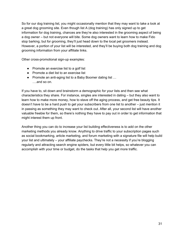So for our dog training list, you might occasionally mention that they may want to take a look at a great dog grooming site. Even though list A (dog training) has only signed up to get information for dog training, chances are they're also interested in the grooming aspect of being a dog owner – but not everyone will bite. Some dog owners want to learn how to make Fido stop barking, but for grooming, they'll just head down to the local pet groomers instead. However, a portion of your list will be interested, and they'll be buying both dog training and dog grooming information from your affiliate links.

Other cross-promotional sign-up examples:

- Promote an exercise list to a golf list
- Promote a diet list to an exercise list
- Promote an anti-aging list to a Baby Boomer dating list ...
	- ….and so on.

If you have to, sit down and brainstorm a demographic for your lists and then see what characteristics they share. For instance, singles are interested in dating – but they also want to learn how to make more money, how to stave off the aging process, and get free beauty tips. It doesn't have to be a hard push to get your subscribers from one list to another – just mention it in passing as something they may want to check out. After all, your second list will have another valuable freebie for them, so there's nothing they have to pay out in order to get information that might interest them up front.

Another thing you can do to increase your list building effectiveness is to add on the other marketing methods you already know. Anything to drive traffic to your subscription pages such as social bookmarking, article marketing, and forum marketing with a signature file will help build your list and ultimately – your affiliate paychecks. They're not a necessity if you're blogging regularly and attracting search engine spiders, but every little bit helps, so whatever you can accomplish with your time or budget, do the tasks that help you get more traffic.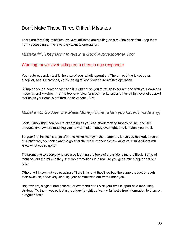## Don't Make These Three Critical Mistakes

There are three big mistakes low level affiliates are making on a routine basis that keep them from succeeding at the level they want to operate on.

*Mistake #1: They Don't Invest in a Good Autoresponder Tool*

#### Warning: never ever skimp on a cheapo autoresponder

Your autoresponder tool is the crux of your whole operation. The entire thing is set-up on autopilot, and if it crashes, you're going to lose your entire affiliate operation.

Skimp on your autoresponder and it might cause you to return to square one with your earnings. I recommend Aweber – it's the tool of choice for most marketers and has a high level of support that helps your emails get through to various ISPs.

#### *Mistake #2: Go After the Make Money Niche (when you haven't made any)*

Look, I know right now you're absorbing all you can about making money online. You see products everywhere teaching you how to make money overnight, and it makes you drool.

So your first instinct is to go after the make money niche – after all, it has you hooked, doesn't it? Here's why you don't want to go after the make money niche – all of your subscribers will know what you're up to!

Try promoting to people who are also learning the tools of the trade is more difficult. Some of them opt out the minute they see two promotions in a row (so you get a much higher opt out rate).

Others will know that you're using affiliate links and they'll go buy the same product through their own link, effectively stealing your commission out from under you.

Dog owners, singles, and golfers (for example) don't pick your emails apart as a marketing strategy. To them, you're just a great guy (or girl) delivering fantastic free information to them on a regular basis.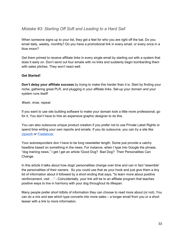#### *Mistake #3: Starting Off Soft and Leading to a Hard Sell*

When someone signs up to your list, they get a feel for who you are right off the bat. Do you email daily, weekly, monthly? Do you have a promotional link in every email, or every once in a blue moon?

Get them primed to receive affiliate links in every single email by starting out with a system that does it early on. Don't send out four emails with no links and suddenly begin bombarding them with sales pitches. They won't react well.

#### **Get Started!**

**Don't delay your affiliate success** by trying to make this harder than it is. Start by finding your niche, gathering great PLR, and plugging in your affiliate links. Set-up your domain and your system runs itself!

#### *Wash, rinse, repeat.*

If you want to use site building software to make your domain look a little more professional, go for it. You don't have to hire an expensive graphic designer to do this.

You can also outsource unique product creation if you prefer not to use Private Label Rights or spend time writing your own reports and emails. If you do outsource, you can try a site like [Upwork](http://upwork.com/) or [Freelancer.](http://freelancer.com/)

Your autoresponders don t have to be long newsletter length. Some just provide a catchy headline based on something in the news. For instance, when I type into Google the phrase, "dog training news," I get I get an article 'Good Dog? Bad Dog? Their Personalities Can Change.

In this article it talks about how dogs' personalities change over time and can in fact 'resemble' the personalities of their owners. So you could use that as your hook and just give them a tiny bit of information about it followed by a short ending that says, "to learn more about positive reinforcement, visit …" - Coincidentally, your link will be to an affiliate program that teaches positive ways to live in harmony with your dog throughout its lifespan.

Many people prefer short tidbits of information they can choose to read more about (or not). You can do a mix and see which type converts into more sales – a longer email from you or a short teaser with a link to more information.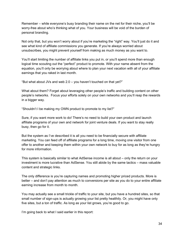Remember – while everyone's busy branding their name on the net for their niche, you'll be worry-free about who's thinking what of you. Your business will be void of the burden of personal branding.

Not only that, but you won't worry about if you're marketing the "right" way. You'll just do it and see what kind of affiliate commissions you generate. If you're always worried about unsubscribes, you might prevent yourself from making as much money as you want to.

You'll start limiting the number of affiliate links you put in, or you'll spend more than enough logical time scouting out the "perfect" product to promote. With your name absent from the equation, you'll only be worrying about where to plan your next vacation with all of your affiliate earnings that you raked in last month.

"But what about JVs and web 2.0 – you haven't touched on that yet?"

What about them? Forget about leveraging other people's traffic and building content on other people's networks. Focus your efforts solely on your own networks and you'll reap the rewards in a bigger way.

"Shouldn't I be making my OWN product to promote to my list?"

Sure, if you want more work to do! There's no need to build your own product and launch affiliate programs of your own and network for joint venture deals. If you want to stay really busy, then go for it.

But the system as I've described it is all you need to be financially secure with affiliate marketing. You can feed off of affiliate programs for a long time, moving one visitor from one offer to another and keeping them within your own network to buy for as long as they're hungry for more information.

This system is basically similar to what AdSense income is all about – only the return on your investment is more lucrative than AdSense. You still abide by the same tactics – mass valuable content and strategic links.

The only difference is you're capturing names and promoting higher priced products. More is better – and don't pay attention as much to conversions per site as you do to your entire affiliate earning increase from month to month.

You may actually see a small trickle of traffic to your site, but you have a hundred sites, so that small number of sign-ups is actually growing your list pretty healthily. Or, you might have only five sites, but a ton of traffic. As long as your list grows, you're good to go.

I'm going back to what I said earlier in this report: